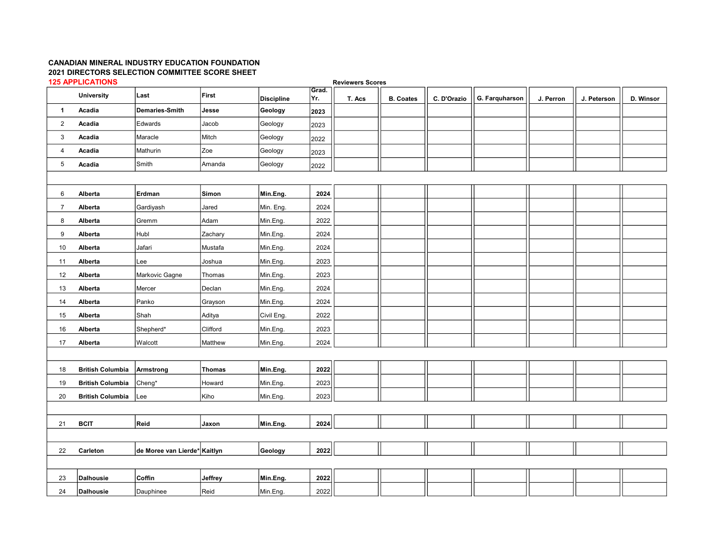## CANADIAN MINERAL INDUSTRY EDUCATION FOUNDATION 2021 DIRECTORS SELECTION COMMITTEE SCORE SHEET 125 APPLICATIONS

Reviewers Scores

|                | <b>University</b>       | Last                          | First         |                              | Grad.       | <u>www.ardigener</u> |                  |             |                |           |             |           |
|----------------|-------------------------|-------------------------------|---------------|------------------------------|-------------|----------------------|------------------|-------------|----------------|-----------|-------------|-----------|
| $\mathbf{1}$   | Acadia                  | Demaries-Smith                | Jesse         | <b>Discipline</b><br>Geology | Yr.<br>2023 | T. Acs               | <b>B. Coates</b> | C. D'Orazio | G. Farquharson | J. Perron | J. Peterson | D. Winsor |
| $\overline{2}$ | Acadia                  | Edwards                       | Jacob         | Geology                      |             |                      |                  |             |                |           |             |           |
| 3              | Acadia                  | Maracle                       | Mitch         | Geology                      | 2023        |                      |                  |             |                |           |             |           |
| 4              | Acadia                  | Mathurin                      | Zoe           | Geology                      | 2022        |                      |                  |             |                |           |             |           |
| $\sqrt{5}$     |                         | Smith                         | Amanda        | Geology                      | 2023        |                      |                  |             |                |           |             |           |
|                | Acadia                  |                               |               |                              | 2022        |                      |                  |             |                |           |             |           |
|                |                         |                               |               |                              |             |                      |                  |             |                |           |             |           |
| 6              | Alberta                 | Erdman                        | Simon         | Min.Eng.                     | 2024        |                      |                  |             |                |           |             |           |
| $\overline{7}$ | Alberta                 | Gardiyash                     | Jared         | Min. Eng.                    | 2024        |                      |                  |             |                |           |             |           |
| 8              | Alberta                 | Gremm                         | Adam          | Min.Eng.                     | 2022        |                      |                  |             |                |           |             |           |
| 9              | Alberta                 | Hubl                          | Zachary       | Min.Eng.                     | 2024        |                      |                  |             |                |           |             |           |
| 10             | Alberta                 | Jafari                        | Mustafa       | Min.Eng.                     | 2024        |                      |                  |             |                |           |             |           |
| 11             | Alberta                 | Lee                           | Joshua        | Min.Eng.                     | 2023        |                      |                  |             |                |           |             |           |
| 12             | Alberta                 | Markovic Gagne                | Thomas        | Min.Eng.                     | 2023        |                      |                  |             |                |           |             |           |
| 13             | Alberta                 | Mercer                        | Declan        | Min.Eng.                     | 2024        |                      |                  |             |                |           |             |           |
| 14             | Alberta                 | Panko                         | Grayson       | Min.Eng.                     | 2024        |                      |                  |             |                |           |             |           |
| 15             | Alberta                 | Shah                          | Aditya        | Civil Eng.                   | 2022        |                      |                  |             |                |           |             |           |
| 16             | Alberta                 | Shepherd*                     | Clifford      | Min.Eng.                     | 2023        |                      |                  |             |                |           |             |           |
| 17             | Alberta                 | Walcott                       | Matthew       | Min.Eng.                     | 2024        |                      |                  |             |                |           |             |           |
|                |                         |                               |               |                              |             |                      |                  |             |                |           |             |           |
| 18             | <b>British Columbia</b> | Armstrong                     | <b>Thomas</b> | Min.Eng.                     | 2022        |                      |                  |             |                |           |             |           |
| 19             | <b>British Columbia</b> | Cheng*                        | Howard        | Min.Eng.                     | 2023        |                      |                  |             |                |           |             |           |
| 20             | <b>British Columbia</b> | Lee                           | Kiho          | Min.Eng.                     | 2023        |                      |                  |             |                |           |             |           |
|                |                         |                               |               |                              |             |                      |                  |             |                |           |             |           |
| 21             | <b>BCIT</b>             | Reid                          | Jaxon         | Min.Eng.                     | 2024        |                      |                  |             |                |           |             |           |
|                |                         |                               |               |                              |             |                      |                  |             |                |           |             |           |
| 22             | Carleton                | ∣de Moree van Lierde*∣Kaitlyn |               | Geology                      | 2022        |                      |                  |             |                |           |             |           |
|                |                         |                               |               |                              |             |                      |                  |             |                |           |             |           |
| 23             | Dalhousie               | Coffin                        | Jeffrey       | Min.Eng.                     | 2022        |                      |                  |             |                |           |             |           |
|                |                         |                               |               |                              |             |                      |                  |             |                |           |             |           |
| 24             | Dalhousie               | Dauphinee                     | Reid          | Min.Eng.                     | 2022        |                      |                  |             |                |           |             |           |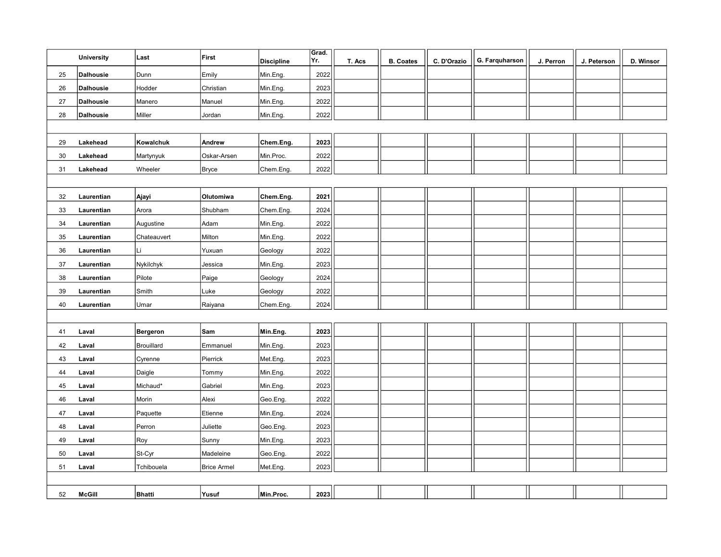|    | <b>University</b> | Last        | First              | <b>Discipline</b> | Grad.<br>Yr. | T. Acs | <b>B. Coates</b> | C. D'Orazio | G. Farquharson | J. Perron | J. Peterson | D. Winsor |
|----|-------------------|-------------|--------------------|-------------------|--------------|--------|------------------|-------------|----------------|-----------|-------------|-----------|
| 25 | <b>Dalhousie</b>  | Dunn        | Emily              | Min.Eng.          | 2022         |        |                  |             |                |           |             |           |
| 26 | <b>Dalhousie</b>  | Hodder      | Christian          | Min.Eng.          | 2023         |        |                  |             |                |           |             |           |
| 27 | <b>Dalhousie</b>  | Manero      | Manuel             | Min.Eng.          | 2022         |        |                  |             |                |           |             |           |
| 28 | <b>Dalhousie</b>  | Miller      | Jordan             | Min.Eng.          | 2022         |        |                  |             |                |           |             |           |
|    |                   |             |                    |                   |              |        |                  |             |                |           |             |           |
| 29 | Lakehead          | Kowalchuk   | Andrew             | Chem.Eng.         | 2023         |        |                  |             |                |           |             |           |
| 30 | Lakehead          | Martynyuk   | Oskar-Arsen        | Min.Proc.         | 2022         |        |                  |             |                |           |             |           |
| 31 | Lakehead          | Wheeler     | <b>Bryce</b>       | Chem.Eng.         | 2022         |        |                  |             |                |           |             |           |
|    |                   |             |                    |                   |              |        |                  |             |                |           |             |           |
| 32 | Laurentian        | Ajayi       | Olutomiwa          | Chem.Eng.         | 2021         |        |                  |             |                |           |             |           |
| 33 | Laurentian        | Arora       | Shubham            | Chem.Eng.         | 2024         |        |                  |             |                |           |             |           |
| 34 | Laurentian        | Augustine   | Adam               | Min.Eng.          | 2022         |        |                  |             |                |           |             |           |
| 35 | Laurentian        | Chateauvert | Milton             | Min.Eng.          | 2022         |        |                  |             |                |           |             |           |
| 36 | Laurentian        | lLi.        | Yuxuan             | Geology           | 2022         |        |                  |             |                |           |             |           |
| 37 | Laurentian        | Nykilchyk   | Jessica            | Min.Eng.          | 2023         |        |                  |             |                |           |             |           |
| 38 | Laurentian        | Pilote      | Paige              | Geology           | 2024         |        |                  |             |                |           |             |           |
| 39 | Laurentian        | Smith       | Luke               | Geology           | 2022         |        |                  |             |                |           |             |           |
| 40 | Laurentian        | Umar        | Raiyana            | Chem.Eng.         | 2024         |        |                  |             |                |           |             |           |
|    |                   |             |                    |                   |              |        |                  |             |                |           |             |           |
| 41 | Laval             | Bergeron    | Sam                | Min.Eng.          | 2023         |        |                  |             |                |           |             |           |
| 42 | Laval             | Brouillard  | Emmanuel           | Min.Eng.          | 2023         |        |                  |             |                |           |             |           |
| 43 | Laval             | Cyrenne     | Pierrick           | Met.Eng.          | 2023         |        |                  |             |                |           |             |           |
| 44 | Laval             | Daigle      | Tommy              | Min.Eng.          | 2022         |        |                  |             |                |           |             |           |
| 45 | Laval             | Michaud*    | Gabriel            | Min.Eng.          | 2023         |        |                  |             |                |           |             |           |
| 46 | Laval             | Morin       | Alexi              | Geo.Eng.          | 2022         |        |                  |             |                |           |             |           |
| 47 | Laval             | Paquette    | Etienne            | Min.Eng.          | 2024         |        |                  |             |                |           |             |           |
| 48 | Laval             | Perron      | Juliette           | Geo.Eng.          | 2023         |        |                  |             |                |           |             |           |
| 49 | Laval             | Roy         | Sunny              | Min.Eng.          | 2023         |        |                  |             |                |           |             |           |
| 50 | Laval             | St-Cyr      | Madeleine          | Geo.Eng.          | 2022         |        |                  |             |                |           |             |           |
| 51 | Laval             | Tchibouela  | <b>Brice Armel</b> | Met.Eng.          | 2023         |        |                  |             |                |           |             |           |
|    |                   |             |                    |                   |              |        |                  |             |                |           |             |           |
| 52 | <b>McGill</b>     | Bhatti      | Yusuf              | Min.Proc.         | 2023         |        |                  |             |                |           |             |           |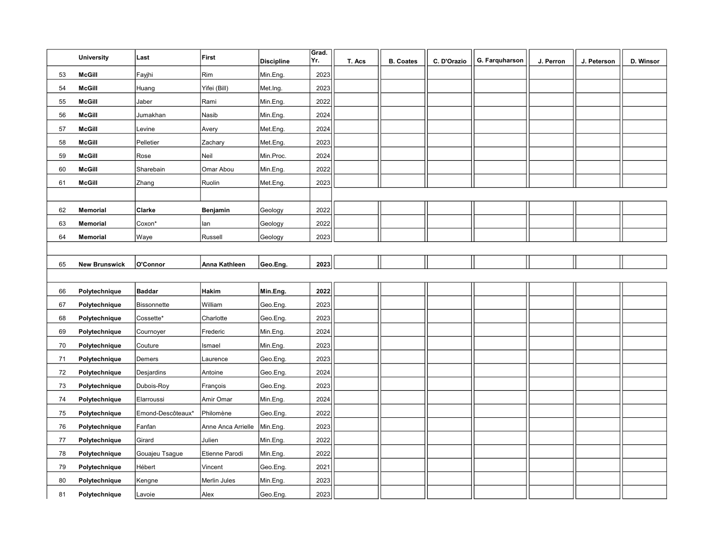|    | <b>University</b>    | Last              | First              | <b>Discipline</b> | Grad.<br>Yr. | T. Acs | <b>B. Coates</b> | C. D'Orazio | G. Farquharson | J. Perron | J. Peterson | D. Winsor |
|----|----------------------|-------------------|--------------------|-------------------|--------------|--------|------------------|-------------|----------------|-----------|-------------|-----------|
| 53 | <b>McGill</b>        | Fayjhi            | Rim                | Min.Eng.          | 2023         |        |                  |             |                |           |             |           |
| 54 | <b>McGill</b>        | Huang             | Yifei (Bill)       | Met.Ing.          | 2023         |        |                  |             |                |           |             |           |
| 55 | <b>McGill</b>        | Jaber             | Rami               | Min.Eng.          | 2022         |        |                  |             |                |           |             |           |
| 56 | <b>McGill</b>        | Jumakhan          | Nasib              | Min.Eng.          | 2024         |        |                  |             |                |           |             |           |
| 57 | <b>McGill</b>        | Levine            | Avery              | Met.Eng.          | 2024         |        |                  |             |                |           |             |           |
| 58 | <b>McGill</b>        | Pelletier         | Zachary            | Met.Eng.          | 2023         |        |                  |             |                |           |             |           |
| 59 | <b>McGill</b>        | Rose              | Neil               | Min.Proc.         | 2024         |        |                  |             |                |           |             |           |
| 60 | <b>McGill</b>        | Sharebain         | Omar Abou          | Min.Eng.          | 2022         |        |                  |             |                |           |             |           |
| 61 | <b>McGill</b>        | Zhang             | Ruolin             | Met.Eng.          | 2023         |        |                  |             |                |           |             |           |
|    |                      |                   |                    |                   |              |        |                  |             |                |           |             |           |
| 62 | <b>Memorial</b>      | Clarke            | Benjamin           | Geology           | 2022         |        |                  |             |                |           |             |           |
| 63 | <b>Memorial</b>      | Coxon*            | lan                | Geology           | 2022         |        |                  |             |                |           |             |           |
| 64 | <b>Memorial</b>      | Waye              | Russell            | Geology           | 2023         |        |                  |             |                |           |             |           |
|    |                      |                   |                    |                   |              |        |                  |             |                |           |             |           |
| 65 | <b>New Brunswick</b> | O'Connor          | Anna Kathleen      | Geo.Eng.          | 2023         |        |                  |             |                |           |             |           |
|    |                      |                   |                    |                   |              |        |                  |             |                |           |             |           |
| 66 | Polytechnique        | <b>Baddar</b>     | <b>Hakim</b>       | Min.Eng.          | 2022         |        |                  |             |                |           |             |           |
| 67 | Polytechnique        | Bissonnette       | William            | Geo.Eng.          | 2023         |        |                  |             |                |           |             |           |
| 68 | Polytechnique        | Cossette*         | Charlotte          | Geo.Eng.          | 2023         |        |                  |             |                |           |             |           |
| 69 | Polytechnique        | Cournoyer         | Frederic           | Min.Eng.          | 2024         |        |                  |             |                |           |             |           |
| 70 | Polytechnique        | Couture           | Ismael             | Min.Eng.          | 2023         |        |                  |             |                |           |             |           |
| 71 | Polytechnique        | Demers            | Laurence           | Geo.Eng.          | 2023         |        |                  |             |                |           |             |           |
| 72 | Polytechnique        | Desjardins        | Antoine            | Geo.Eng.          | 2024         |        |                  |             |                |           |             |           |
| 73 | Polytechnique        | Dubois-Roy        | François           | Geo.Eng.          | 2023         |        |                  |             |                |           |             |           |
| 74 | Polytechnique        | Elarroussi        | Amir Omar          | Min.Eng.          | 2024         |        |                  |             |                |           |             |           |
| 75 | Polytechnique        | Emond-Descôteaux* | Philomène          | Geo.Eng.          | 2022         |        |                  |             |                |           |             |           |
| 76 | Polytechnique        | Fanfan            | Anne Anca Arrielle | Min.Eng.          | 2023         |        |                  |             |                |           |             |           |
| 77 | Polytechnique        | Girard            | Julien             | Min.Eng.          | 2022         |        |                  |             |                |           |             |           |
| 78 | Polytechnique        | Gouajeu Tsague    | Etienne Parodi     | Min.Eng.          | 2022         |        |                  |             |                |           |             |           |
| 79 | Polytechnique        | Hébert            | Vincent            | Geo.Eng.          | 2021         |        |                  |             |                |           |             |           |
| 80 | Polytechnique        | Kengne            | Merlin Jules       | Min.Eng.          | 2023         |        |                  |             |                |           |             |           |
| 81 | Polytechnique        | Lavoie            | Alex               | Geo.Eng.          | 2023         |        |                  |             |                |           |             |           |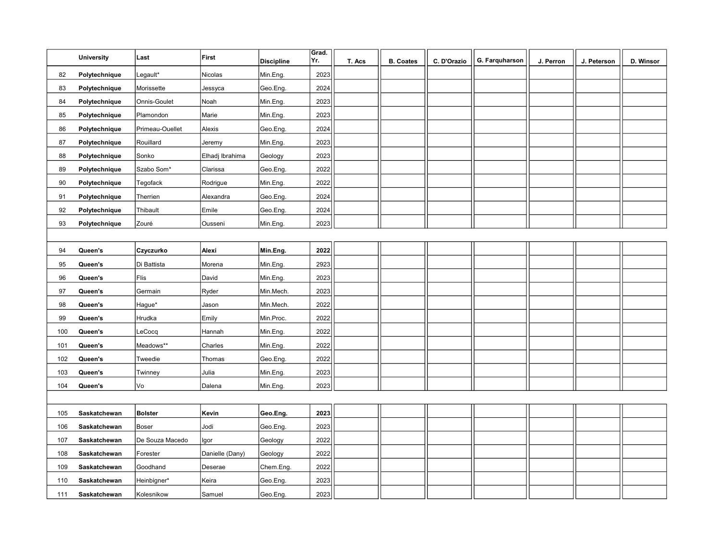|     | <b>University</b> | Last            | First           | <b>Discipline</b> | Grad.<br>Yr. | T. Acs | <b>B. Coates</b> | C. D'Orazio | G. Farquharson | J. Perron | J. Peterson | D. Winsor |
|-----|-------------------|-----------------|-----------------|-------------------|--------------|--------|------------------|-------------|----------------|-----------|-------------|-----------|
| 82  | Polytechnique     | Legault*        | Nicolas         | Min.Eng.          | 2023         |        |                  |             |                |           |             |           |
| 83  | Polytechnique     | Morissette      | Jessyca         | Geo.Eng.          | 2024         |        |                  |             |                |           |             |           |
| 84  | Polytechnique     | Onnis-Goulet    | Noah            | Min.Eng.          | 2023         |        |                  |             |                |           |             |           |
| 85  | Polytechnique     | Plamondon       | Marie           | Min.Eng.          | 2023         |        |                  |             |                |           |             |           |
| 86  | Polytechnique     | Primeau-Ouellet | Alexis          | Geo.Eng.          | 2024         |        |                  |             |                |           |             |           |
| 87  | Polytechnique     | Rouillard       | Jeremy          | Min.Eng.          | 2023         |        |                  |             |                |           |             |           |
| 88  | Polytechnique     | Sonko           | Elhadj Ibrahima | Geology           | 2023         |        |                  |             |                |           |             |           |
| 89  | Polytechnique     | Szabo Som*      | Clarissa        | Geo.Eng.          | 2022         |        |                  |             |                |           |             |           |
| 90  | Polytechnique     | Tegofack        | Rodrigue        | Min.Eng.          | 2022         |        |                  |             |                |           |             |           |
| 91  | Polytechnique     | Therrien        | Alexandra       | Geo.Eng.          | 2024         |        |                  |             |                |           |             |           |
| 92  | Polytechnique     | Thibault        | Emile           | Geo.Eng.          | 2024         |        |                  |             |                |           |             |           |
| 93  | Polytechnique     | Zouré           | Ousseni         | Min.Eng.          | 2023         |        |                  |             |                |           |             |           |
|     |                   |                 |                 |                   |              |        |                  |             |                |           |             |           |
| 94  | Queen's           | Czyczurko       | Alexi           | Min.Eng.          | 2022         |        |                  |             |                |           |             |           |
| 95  | Queen's           | Di Battista     | Morena          | Min.Eng.          | 2923         |        |                  |             |                |           |             |           |
| 96  | Queen's           | Flis            | David           | Min.Eng.          | 2023         |        |                  |             |                |           |             |           |
| 97  | Queen's           | Germain         | Ryder           | Min.Mech.         | 2023         |        |                  |             |                |           |             |           |
| 98  | Queen's           | Hague*          | Jason           | Min.Mech.         | 2022         |        |                  |             |                |           |             |           |
| 99  | Queen's           | Hrudka          | Emily           | Min.Proc.         | 2022         |        |                  |             |                |           |             |           |
| 100 | Queen's           | LeCocq          | Hannah          | Min.Eng.          | 2022         |        |                  |             |                |           |             |           |
| 101 | Queen's           | Meadows**       | Charles         | Min.Eng.          | 2022         |        |                  |             |                |           |             |           |
| 102 | Queen's           | Tweedie         | Thomas          | Geo.Eng.          | 2022         |        |                  |             |                |           |             |           |
| 103 | Queen's           | Twinney         | Julia           | Min.Eng.          | 2023         |        |                  |             |                |           |             |           |
| 104 | Queen's           | Vo              | Dalena          | Min.Eng.          | 2023         |        |                  |             |                |           |             |           |
|     |                   |                 |                 |                   |              |        |                  |             |                |           |             |           |
| 105 | Saskatchewan      | <b>Bolster</b>  | Kevin           | Geo.Eng.          | 2023         |        |                  |             |                |           |             |           |
| 106 | Saskatchewan      | Boser           | Jodi            | Geo.Eng.          | 2023         |        |                  |             |                |           |             |           |
| 107 | Saskatchewan      | De Souza Macedo | Igor            | Geology           | 2022         |        |                  |             |                |           |             |           |
| 108 | Saskatchewan      | Forester        | Danielle (Dany) | Geology           | 2022         |        |                  |             |                |           |             |           |
| 109 | Saskatchewan      | Goodhand        | Deserae         | Chem.Eng.         | 2022         |        |                  |             |                |           |             |           |
| 110 | Saskatchewan      | Heinbigner*     | Keira           | Geo.Eng.          | 2023         |        |                  |             |                |           |             |           |
| 111 | Saskatchewan      | Kolesnikow      | Samuel          | Geo.Eng.          | 2023         |        |                  |             |                |           |             |           |